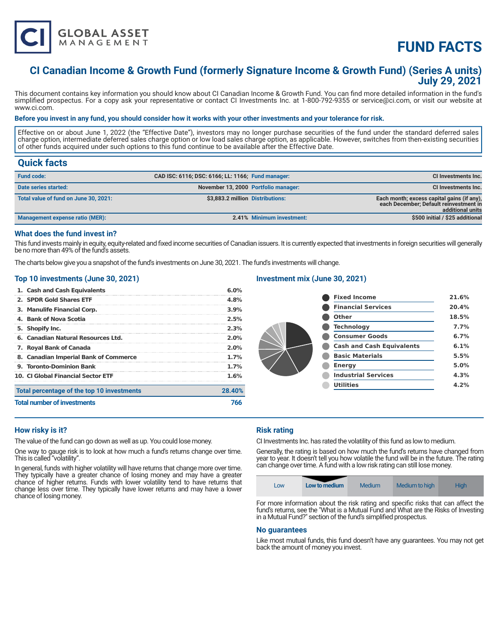

# **FUND FACTS**

# **CI Canadian Income & Growth Fund (formerly Signature Income & Growth Fund) (Series A units) July 29, 2021**

This document contains key information you should know about CI Canadian Income & Growth Fund. You can find more detailed information in the fund's simplified prospectus. For a copy ask your representative or contact CI Investments Inc. at 1-800-792-9355 or service@ci.com, or visit our website at www.ci.com.

#### **Before you invest in any fund, you should consider how it works with your other investments and your tolerance for risk.**

Effective on or about June 1, 2022 (the "Effective Date"), investors may no longer purchase securities of the fund under the standard deferred sales charge option, intermediate deferred sales charge option or low load sales charge option, as applicable. However, switches from then-existing securities of other funds acquired under such options to this fund continue to be available after the Effective Date.

# **Quick facts**

| <b>Fund code:</b>                     | CAD ISC: 6116; DSC: 6166; LL: 1166; Fund manager: |                           | CI Investments Inc.                                                                                      |
|---------------------------------------|---------------------------------------------------|---------------------------|----------------------------------------------------------------------------------------------------------|
| Date series started:                  | November 13, 2000 Portfolio manager:              |                           | CI Investments Inc.                                                                                      |
| Total value of fund on June 30, 2021: | \$3,883.2 million Distributions:                  |                           | Each month; excess capital gains (if any),<br>each December; Default reinvestment in<br>additional units |
| Management expense ratio (MER):       |                                                   | 2.41% Minimum investment: | \$500 initial / \$25 additional                                                                          |

### **What does the fund invest in?**

This fund invests mainly in equity, equity-related and fixed income securities of Canadian issuers. It is currently expected that investments in foreign securities will generally be no more than 49% of the fund's assets.

The charts below give you a snapshot of the fund's investments on June 30, 2021. The fund's investments will change.

#### **Top 10 investments (June 30, 2021)**

| 1. Cash and Cash Equivalents               | 6.0%    |
|--------------------------------------------|---------|
| 2. SPDR Gold Shares ETF                    | 4.8%    |
| 3. Manulife Financial Corp.                | 3.9%    |
| 4. Bank of Nova Scotia                     | 2.5%    |
| 5. Shopify Inc.                            | 2.3%    |
| 6. Canadian Natural Resources Ltd.         | $2.0\%$ |
| 7. Royal Bank of Canada                    | $2.0\%$ |
| 8. Canadian Imperial Bank of Commerce      | 1.7%    |
| 9. Toronto-Dominion Bank                   | 1.7%    |
| 10. CI Global Financial Sector ETF         | 1.6%    |
| Total percentage of the top 10 investments | 28.40%  |
| <b>Total number of investments</b>         | 766     |

# **Investment mix (June 30, 2021)**

| <b>Fixed Income</b>              | 21.6% |
|----------------------------------|-------|
| <b>Financial Services</b>        | 20.4% |
| Other                            | 18.5% |
| <b>Technology</b>                | 7.7%  |
| <b>Consumer Goods</b>            | 6.7%  |
| <b>Cash and Cash Equivalents</b> | 6.1%  |
| <b>Basic Materials</b>           | 5.5%  |
| <b>Energy</b>                    | 5.0%  |
| <b>Industrial Services</b>       | 4.3%  |
| <b>Utilities</b>                 | 4.2%  |
|                                  |       |

## **How risky is it?**

The value of the fund can go down as well as up. You could lose money.

One way to gauge risk is to look at how much a fund's returns change over time. This is called "volatility".

In general, funds with higher volatility will have returns that change more over time. They typically have a greater chance of losing money and may have a greater chance of higher returns. Funds with lower volatility tend to have returns that change less over time. They typically have lower returns and may have a lower chance of losing money.

#### **Risk rating**

CI Investments Inc. has rated the volatility of this fund as low to medium.

Generally, the rating is based on how much the fund's returns have changed from year to year. It doesn't tell you how volatile the fund will be in the future. The rating can change over time. A fund with a low risk rating can still lose money.

|  | LOW | Low to medium | Medium | Medium to high | Hiah |
|--|-----|---------------|--------|----------------|------|
|--|-----|---------------|--------|----------------|------|

For more information about the risk rating and specific risks that can affect the fund's returns, see the "What is a Mutual Fund and What are the Risks of Investing in a Mutual Fund?" section of the fund's simplified prospectus.

#### **No guarantees**

Like most mutual funds, this fund doesn't have any guarantees. You may not get back the amount of money you invest.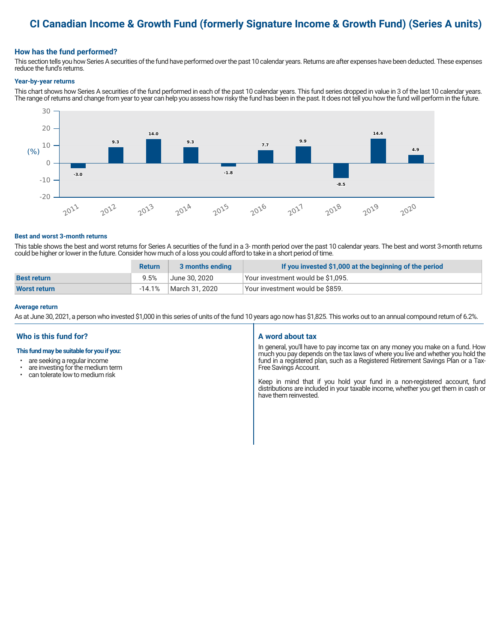# **CI Canadian Income & Growth Fund (formerly Signature Income & Growth Fund) (Series A units)**

### **How has the fund performed?**

This section tells you how Series A securities of the fund have performed over the past 10 calendar years. Returns are after expenses have been deducted. These expenses reduce the fund's returns.

#### **Year-by-year returns**

This chart shows how Series A securities of the fund performed in each of the past 10 calendar years. This fund series dropped in value in 3 of the last 10 calendar years. The range of returns and change from year to year can help you assess how risky the fund has been in the past. It does not tell you how the fund will perform in the future.



#### **Best and worst 3-month returns**

This table shows the best and worst returns for Series A securities of the fund in a 3- month period over the past 10 calendar years. The best and worst 3-month returns could be higher or lower in the future. Consider how much of a loss you could afford to take in a short period of time.

|                     | <b>Return</b> | 3 months ending | If you invested \$1,000 at the beginning of the period |
|---------------------|---------------|-----------------|--------------------------------------------------------|
| <b>Best return</b>  | 9.5%          | June 30, 2020   | Your investment would be \$1,095.                      |
| <b>Worst return</b> | $-14.1\%$     | March 31, 2020  | Vour investment would be \$859.                        |

#### **Average return**

As at June 30, 2021, a person who invested \$1,000 in this series of units of the fund 10 years ago now has \$1,825. This works out to an annual compound return of 6.2%.

## **Who is this fund for?**

#### **This fund may be suitable for you if you:**

- are seeking a regular income
- are investing for the medium term<br>• can telerate low to medium risk
- can tolerate low to medium risk

#### **A word about tax**

In general, you'll have to pay income tax on any money you make on a fund. How much you pay depends on the tax laws of where you live and whether you hold the fund in a registered plan, such as a Registered Retirement Savings Plan or a Tax-Free Savings Account.

Keep in mind that if you hold your fund in a non-registered account, fund distributions are included in your taxable income, whether you get them in cash or have them reinvested.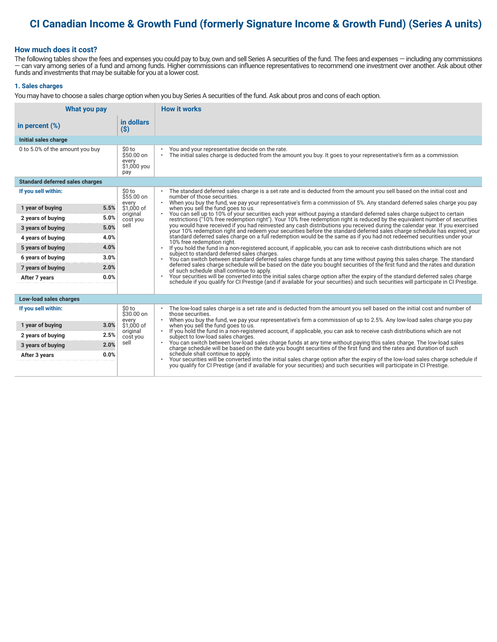# **CI Canadian Income & Growth Fund (formerly Signature Income & Growth Fund) (Series A units)**

### **How much does it cost?**

The following tables show the fees and expenses you could pay to buy, own and sell Series A securities of the fund. The fees and expenses — including any commissions — can vary among series of a fund and among funds. Higher commissions can influence representatives to recommend one investment over another. Ask about other funds and investments that may be suitable for you at a lower cost.

#### **1. Sales charges**

You may have to choose a sales charge option when you buy Series A securities of the fund. Ask about pros and cons of each option.

| What you pay                           |                                                     | <b>How it works</b>                                                                                                                                                                                                                                                               |
|----------------------------------------|-----------------------------------------------------|-----------------------------------------------------------------------------------------------------------------------------------------------------------------------------------------------------------------------------------------------------------------------------------|
| in percent $(\%)$                      | in dollars<br>$(\$)$                                |                                                                                                                                                                                                                                                                                   |
| Initial sales charge                   |                                                     |                                                                                                                                                                                                                                                                                   |
| 0 to 5.0% of the amount you buy        | \$0 to<br>\$50.00 on<br>every<br>\$1,000 you<br>pay | You and your representative decide on the rate.<br>The initial sales charge is deducted from the amount you buy. It goes to your representative's firm as a commission.<br>$\bullet$                                                                                              |
| <b>Standard deferred sales charges</b> |                                                     |                                                                                                                                                                                                                                                                                   |
| If you sell within:                    | \$0 to<br>$$55.00$ on                               | The standard deferred sales charge is a set rate and is deducted from the amount you sell based on the initial cost and<br>number of those securities.                                                                                                                            |
| 5.5%<br>1 year of buying               | every<br>\$1,000 of                                 | When you buy the fund, we pay your representative's firm a commission of 5%. Any standard deferred sales charge you pay<br>$\bullet$<br>when you sell the fund goes to us.                                                                                                        |
| 5.0%<br>2 years of buying              | original                                            | You can sell up to 10% of your securities each year without paying a standard deferred sales charge subject to certain                                                                                                                                                            |
| 5.0%<br>3 years of buying              | cost you<br>sell                                    | restrictions ("10% free redemption right"). Your 10% free redemption right is reduced by the equivalent number of securities<br>you would have received if you had reinvested any cash distributions you received during the calendar year. If you exercised                      |
| 4.0%<br>4 years of buying              |                                                     | your 10% redemption right and redeem your securities before the standard deferred sales charge schedule has expired, your<br>standard deferred sales charge on a full redemption would be the same as if you had not redeemed securities under your                               |
| 4.0%<br>5 years of buying              |                                                     | 10% free redemption right.<br>If you hold the fund in a non-registered account, if applicable, you can ask to receive cash distributions which are not                                                                                                                            |
| 3.0%<br>6 years of buying              |                                                     | subject to standard deferred sales charges.<br>You can switch between standard deferred sales charge funds at any time without paying this sales charge. The standard                                                                                                             |
| 2.0%<br>7 years of buying              |                                                     | deferred sales charge schedule will be based on the date you bought securities of the first fund and the rates and duration<br>of such schedule shall continue to apply.                                                                                                          |
| 0.0%<br>After 7 years                  |                                                     | Your securities will be converted into the initial sales charge option after the expiry of the standard deferred sales charge<br>$\bullet$<br>schedule if you qualify for CI Prestige (and if available for your securities) and such securities will participate in CI Prestige. |
|                                        |                                                     |                                                                                                                                                                                                                                                                                   |
| Low-load sales charges                 |                                                     |                                                                                                                                                                                                                                                                                   |
| If you sell within:                    | \$0 to<br>$$30.00$ on<br>every                      | The low-load sales charge is a set rate and is deducted from the amount you sell based on the initial cost and number of<br>those securities.<br>When you buy the fund, we pay your representative's firm a commission of up to 2.5%. Any low-load sales charge you pay           |
| 3.0%<br>1 year of buying               | \$1,000 of                                          | when you sell the fund goes to us.                                                                                                                                                                                                                                                |
| 2.5%<br>2 years of buying              | original<br>cost you                                | If you hold the fund in a non-registered account, if applicable, you can ask to receive cash distributions which are not<br>subject to low-load sales charges.                                                                                                                    |
| 2.0%<br>3 years of buying              | sell                                                | You can switch between low-load sales charge funds at any time without paying this sales charge. The low-load sales<br>charge schedule will be based on the date you bought securities of the first fund and the rates and durati                                                 |
| 0.0%<br>After 3 years                  |                                                     | schedule shall continue to apply.<br>Your securities will be converted into the initial sales charge option after the expiry of the low-load sales charge schedule if you qualify for CI Prestige (and if available for your securities) and such securities will p               |
|                                        |                                                     |                                                                                                                                                                                                                                                                                   |